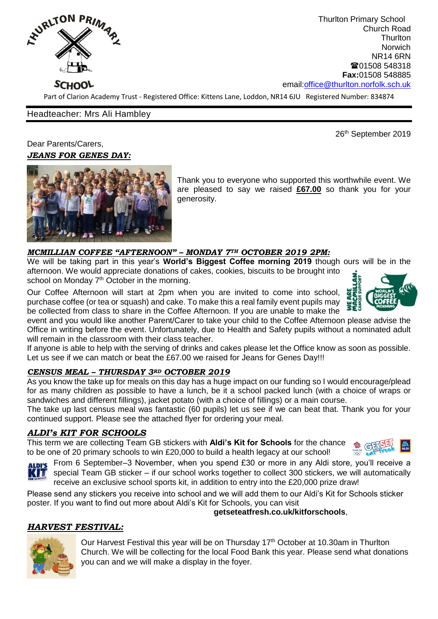

Thurlton Primary School Church Road **Thurlton** Norwich NR14 6RN ■01508 548318 **Fax:**01508 548885 email[:office@thurlton.norfolk.sch.uk](mailto:office@thurlton.norfolk.sch.uk)

Part of Clarion Academy Trust - Registered Office: Kittens Lane, Loddon, NR14 6JU Registered Number: 834874

## Headteacher: Mrs Ali Hambley

26<sup>th</sup> September 2019

Dear Parents/Carers, *JEANS FOR GENES DAY:*



Thank you to everyone who supported this worthwhile event. We are pleased to say we raised **£67.00** so thank you for your generosity.

## *MCMILLIAN COFFEE "AFTERNOON" – MONDAY 7TH OCTOBER 2019 2PM:*

We will be taking part in this year's **World's Biggest Coffee morning 2019** though ours will be in the afternoon. We would appreciate donations of cakes, cookies, biscuits to be brought into school on Monday 7<sup>th</sup> October in the morning.

Our Coffee Afternoon will start at 2pm when you are invited to come into school, purchase coffee (or tea or squash) and cake. To make this a real family event pupils may be collected from class to share in the Coffee Afternoon. If you are unable to make the

event and you would like another Parent/Carer to take your child to the Coffee Afternoon please advise the Office in writing before the event. Unfortunately, due to Health and Safety pupils without a nominated adult will remain in the classroom with their class teacher.

If anyone is able to help with the serving of drinks and cakes please let the Office know as soon as possible. Let us see if we can match or beat the £67.00 we raised for Jeans for Genes Day!!!

## *CENSUS MEAL – THURSDAY 3RD OCTOBER 2019*

As you know the take up for meals on this day has a huge impact on our funding so I would encourage/plead for as many children as possible to have a lunch, be it a school packed lunch (with a choice of wraps or sandwiches and different fillings), jacket potato (with a choice of fillings) or a main course.

The take up last census meal was fantastic (60 pupils) let us see if we can beat that. Thank you for your continued support. Please see the attached flyer for ordering your meal.

## *ALDI's KIT FOR SCHOOLS*

This term we are collecting Team GB stickers with **Aldi's Kit for Schools** for the chance to be one of 20 primary schools to win £20,000 to build a health legacy at our school!





**ALDI'S** From 6 September–3 November, when you spend £30 or more in any Aldi store, you'll receive a special Team GB sticker – if our school works together to collect 300 stickers, we will automatically receive an exclusive school sports kit, in addition to entry into the £20,000 prize draw!

Please send any stickers you receive into school and we will add them to our Aldi's Kit for Schools sticker poster. If you want to find out more about Aldi's Kit for Schools, you can visit

## **getseteatfresh.co.uk/kitforschools**,

# *HARVEST FESTIVAL:*

Our Harvest Festival this year will be on Thursday 17<sup>th</sup> October at 10.30am in Thurlton Church. We will be collecting for the local Food Bank this year. Please send what donations you can and we will make a display in the foyer.

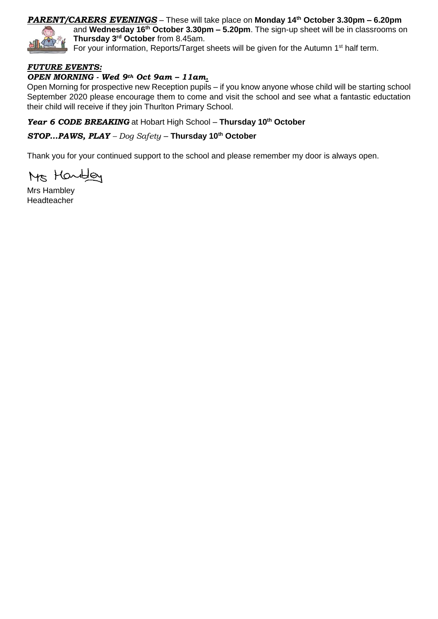## *PARENT/CARERS EVENINGS* – These will take place on **Monday 14th October 3.30pm – 6.20pm**



and **Wednesday 16th October 3.30pm – 5.20pm**. The sign-up sheet will be in classrooms on **Thursday 3 rd October** from 8.45am.

For your information, Reports/Target sheets will be given for the Autumn 1<sup>st</sup> half term.

## *FUTURE EVENTS:*

## *OPEN MORNING - Wed 9th Oct 9am – 11am.*

Open Morning for prospective new Reception pupils – if you know anyone whose child will be starting school September 2020 please encourage them to come and visit the school and see what a fantastic eductation their child will receive if they join Thurlton Primary School.

*Year 6 CODE BREAKING* at Hobart High School – **Thursday 10th October** 

*STOP…PAWS, PLAY – Dog Safety* – **Thursday 10th October**

Thank you for your continued support to the school and please remember my door is always open.

Ms Handley

Mrs Hambley Headteacher